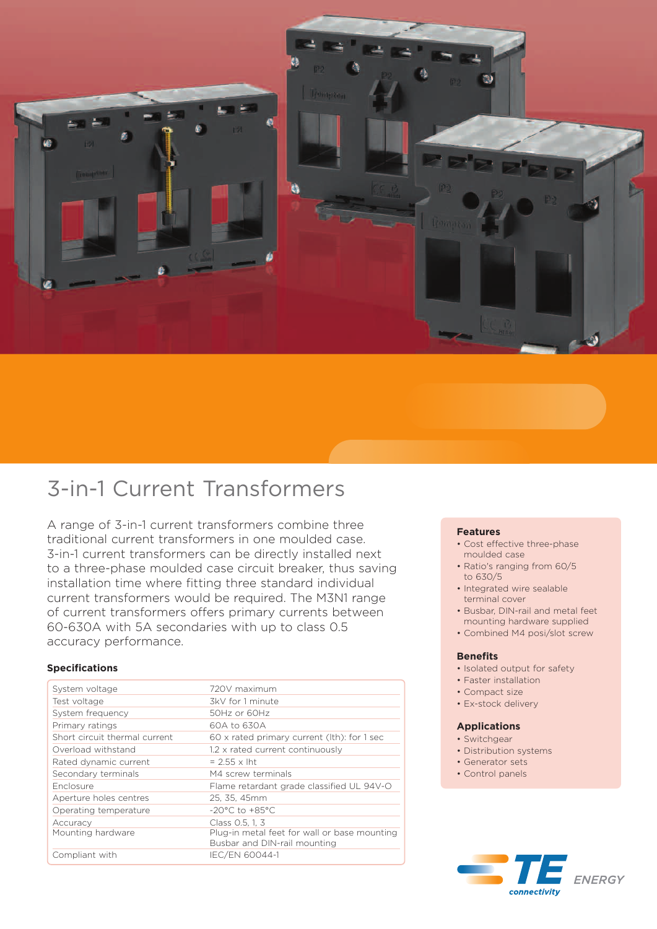

# 3-in-1 Current Transformers

A range of 3-in-1 current transformers combine three traditional current transformers in one moulded case. 3-in-1 current transformers can be directly installed next to a three-phase moulded case circuit breaker, thus saving installation time where fitting three standard individual current transformers would be required. The M3N1 range of current transformers offers primary currents between 60-630A with 5A secondaries with up to class 0.5 accuracy performance.

# **Specifications**

| System voltage                | 720V maximum                                                                 |
|-------------------------------|------------------------------------------------------------------------------|
| Test voltage                  | 3kV for 1 minute                                                             |
| System frequency              | 50Hz or 60Hz                                                                 |
| Primary ratings               | 60A to 630A                                                                  |
| Short circuit thermal current | 60 x rated primary current (lth): for 1 sec                                  |
| Overload withstand            | 1.2 x rated current continuously                                             |
| Rated dynamic current         | $= 2.55 \times$ lht                                                          |
| Secondary terminals           | M4 screw terminals                                                           |
| <b>Enclosure</b>              | Flame retardant grade classified UL 94V-O                                    |
| Aperture holes centres        | 25, 35, 45mm                                                                 |
| Operating temperature         | $-20^{\circ}$ C to $+85^{\circ}$ C                                           |
| Accuracy                      | Class 0.5, 1, 3                                                              |
| Mounting hardware             | Plug-in metal feet for wall or base mounting<br>Busbar and DIN-rail mounting |
| Compliant with                | IEC/EN 60044-1                                                               |

## **Features**

- Cost effective three-phase moulded case
- Ratio's ranging from 60/5 to 630/5
- Integrated wire sealable terminal cover
- Busbar, DIN-rail and metal feet mounting hardware supplied
- Combined M4 posi/slot screw

# **Benefits**

- Isolated output for safety
- Faster installation
- Compact size
- Ex-stock delivery

#### **Applications**

- Switchgear
- Distribution systems
- Generator sets
- Control panels